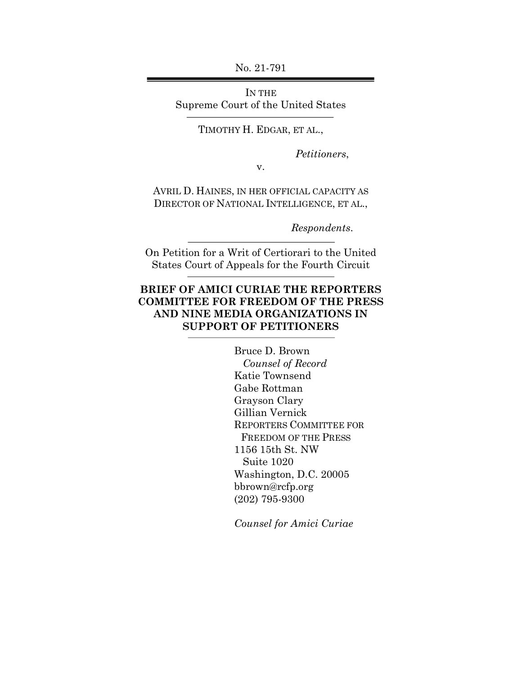No. 21-791

IN THE Supreme Court of the United States

TIMOTHY H. EDGAR, ET AL.,

*Petitioners*,

v.

AVRIL D. HAINES, IN HER OFFICIAL CAPACITY AS DIRECTOR OF NATIONAL INTELLIGENCE, ET AL.,

*Respondents*.

On Petition for a Writ of Certiorari to the United States Court of Appeals for the Fourth Circuit

### **BRIEF OF AMICI CURIAE THE REPORTERS COMMITTEE FOR FREEDOM OF THE PRESS AND NINE MEDIA ORGANIZATIONS IN SUPPORT OF PETITIONERS**

Bruce D. Brown  *Counsel of Record* Katie Townsend Gabe Rottman Grayson Clary Gillian Vernick REPORTERS COMMITTEE FOR FREEDOM OF THE PRESS 1156 15th St. NW Suite 1020 Washington, D.C. 20005 bbrown@rcfp.org (202) 795-9300

*Counsel for Amici Curiae*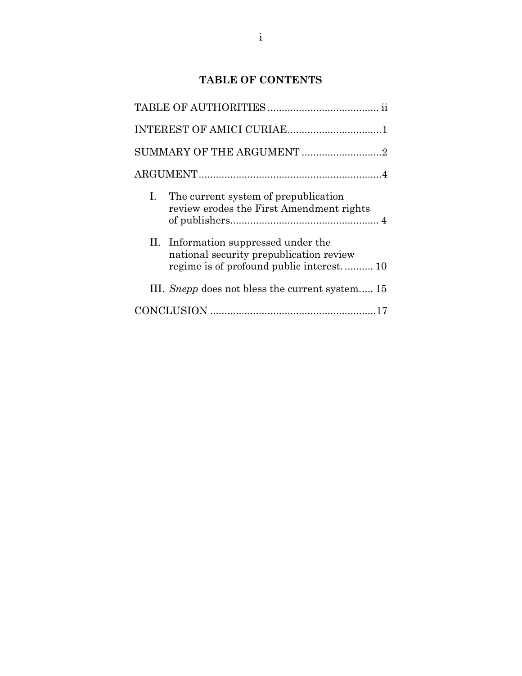## **TABLE OF CONTENTS**

|                | INTEREST OF AMICI CURIAE1                                                        |  |
|----------------|----------------------------------------------------------------------------------|--|
|                | SUMMARY OF THE ARGUMENT 2                                                        |  |
|                |                                                                                  |  |
| $\mathbf{I}$ . | The current system of prepublication<br>review erodes the First Amendment rights |  |
|                | II. Information suppressed under the<br>national security prepublication review  |  |
|                | III. <i>Snepp</i> does not bless the current system 15                           |  |
|                |                                                                                  |  |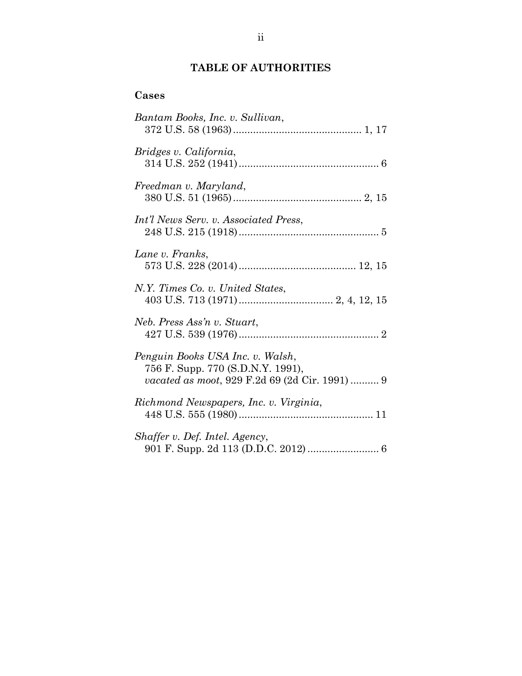## **TABLE OF AUTHORITIES**

## **Cases**

| Bantam Books, Inc. v. Sullivan,                                                                                        |
|------------------------------------------------------------------------------------------------------------------------|
| Bridges v. California,                                                                                                 |
| Freedman v. Maryland,                                                                                                  |
| Int'l News Serv. v. Associated Press,                                                                                  |
| Lane v. Franks,                                                                                                        |
| N.Y. Times Co. v. United States,                                                                                       |
| Neb. Press Ass'n v. Stuart,                                                                                            |
| Penguin Books USA Inc. v. Walsh,<br>756 F. Supp. 770 (S.D.N.Y. 1991),<br>vacated as moot, 929 F.2d 69 (2d Cir. 1991) 9 |
| Richmond Newspapers, Inc. v. Virginia,                                                                                 |
| Shaffer v. Def. Intel. Agency,                                                                                         |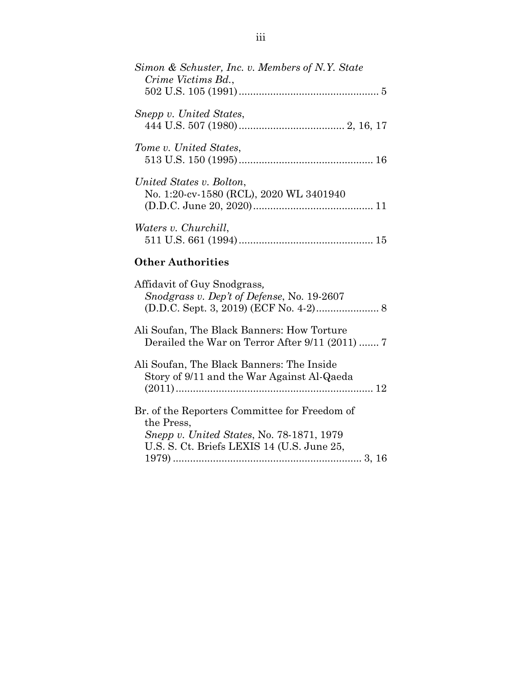| Simon & Schuster, Inc. v. Members of N.Y. State<br>Crime Victims Bd., |
|-----------------------------------------------------------------------|
| Snepp v. United States,                                               |
| Tome v. United States,                                                |
| United States v. Bolton,<br>No. 1:20-cv-1580 (RCL), 2020 WL 3401940   |
| Waters v. Churchill,                                                  |

# **Other Authorities**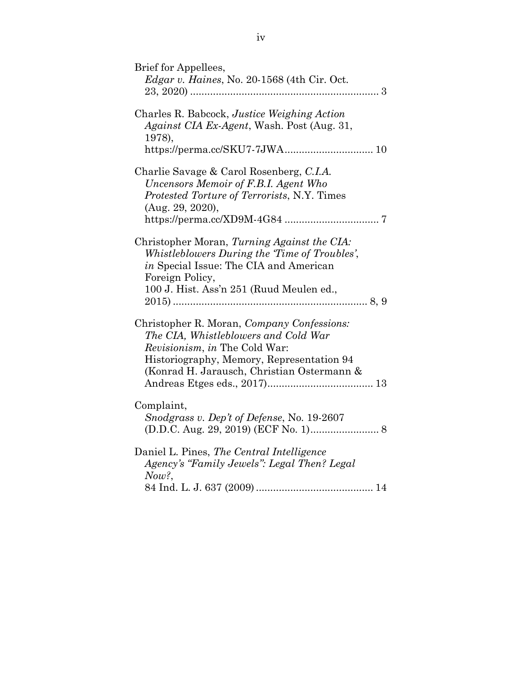| Brief for Appellees,<br>Edgar v. Haines, No. 20-1568 (4th Cir. Oct.                                                                                                                                            |
|----------------------------------------------------------------------------------------------------------------------------------------------------------------------------------------------------------------|
| Charles R. Babcock, Justice Weighing Action<br>Against CIA Ex-Agent, Wash. Post (Aug. 31,<br>1978),                                                                                                            |
| Charlie Savage & Carol Rosenberg, C.I.A.<br>Uncensors Memoir of F.B.I. Agent Who<br>Protested Torture of Terrorists, N.Y. Times<br>(Aug. 29, 2020),                                                            |
| Christopher Moran, Turning Against the CIA:<br>Whistleblowers During the Time of Troubles',<br>in Special Issue: The CIA and American<br>Foreign Policy,<br>100 J. Hist. Ass'n 251 (Ruud Meulen ed.,           |
| Christopher R. Moran, Company Confessions:<br>The CIA, Whistleblowers and Cold War<br>Revisionism, in The Cold War:<br>Historiography, Memory, Representation 94<br>(Konrad H. Jarausch, Christian Ostermann & |
| Complaint,<br>Snodgrass v. Dep't of Defense, No. 19-2607                                                                                                                                                       |
| Daniel L. Pines, The Central Intelligence<br>Agency's "Family Jewels": Legal Then? Legal<br>Now?                                                                                                               |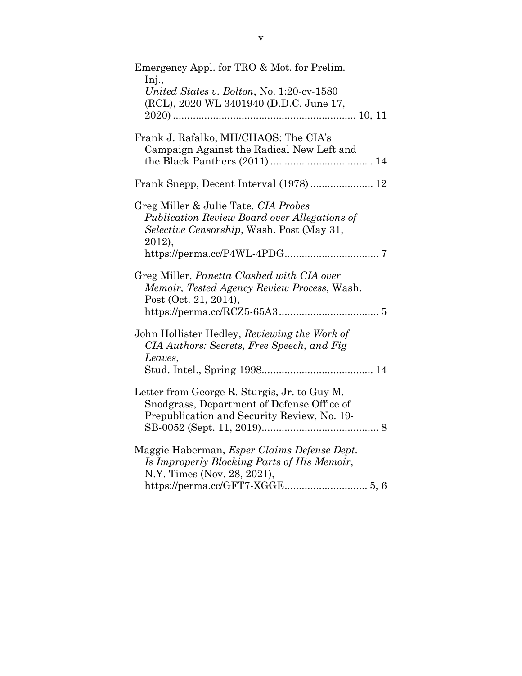| Emergency Appl. for TRO & Mot. for Prelim.<br>Inj.,<br>United States v. Bolton, No. 1:20-cv-1580<br>(RCL), 2020 WL 3401940 (D.D.C. June 17,         |
|-----------------------------------------------------------------------------------------------------------------------------------------------------|
| Frank J. Rafalko, MH/CHAOS: The CIA's<br>Campaign Against the Radical New Left and                                                                  |
|                                                                                                                                                     |
| Greg Miller & Julie Tate, CIA Probes<br>Publication Review Board over Allegations of<br><i>Selective Censorship</i> , Wash. Post (May 31,<br>2012), |
| Greg Miller, Panetta Clashed with CIA over<br>Memoir, Tested Agency Review Process, Wash.<br>Post (Oct. 21, 2014),                                  |
| John Hollister Hedley, Reviewing the Work of<br>CIA Authors: Secrets, Free Speech, and Fig.<br>Leaves,                                              |
| Letter from George R. Sturgis, Jr. to Guy M.<br>Snodgrass, Department of Defense Office of<br>Prepublication and Security Review, No. 19-           |
| Maggie Haberman, Esper Claims Defense Dept.<br>Is Improperly Blocking Parts of His Memoir,<br>N.Y. Times (Nov. 28, 2021),                           |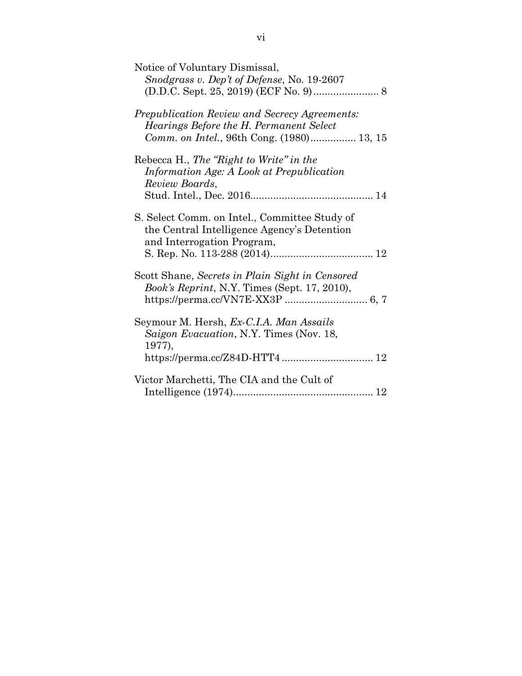| Notice of Voluntary Dismissal,<br>Snodgrass v. Dep't of Defense, No. 19-2607                    |
|-------------------------------------------------------------------------------------------------|
|                                                                                                 |
| <i>Prepublication Review and Secrecy Agreements:</i><br>Hearings Before the H. Permanent Select |
| Comm. on Intel., 96th Cong. (1980) 13, 15                                                       |
| Rebecca H., The "Right to Write" in the                                                         |
| Information Age: A Look at Prepublication<br>Review Boards,                                     |
|                                                                                                 |
| S. Select Comm. on Intel., Committee Study of                                                   |
| the Central Intelligence Agency's Detention<br>and Interrogation Program,                       |
|                                                                                                 |
| Scott Shane, Secrets in Plain Sight in Censored                                                 |
| Book's Reprint, N.Y. Times (Sept. 17, 2010),                                                    |
| Seymour M. Hersh, Ex-C.I.A. Man Assails                                                         |
| Saigon Evacuation, N.Y. Times (Nov. 18,                                                         |
| 1977),                                                                                          |
| Victor Marchetti, The CIA and the Cult of                                                       |
|                                                                                                 |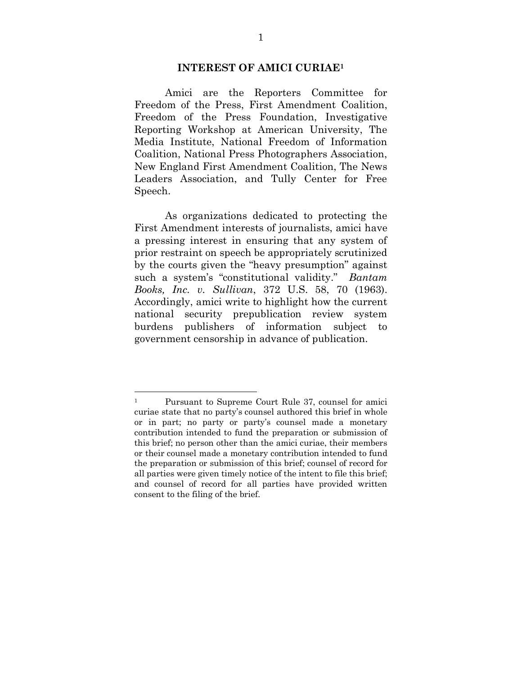#### **INTEREST OF AMICI CURIAE1**

Amici are the Reporters Committee for Freedom of the Press, First Amendment Coalition, Freedom of the Press Foundation, Investigative Reporting Workshop at American University, The Media Institute, National Freedom of Information Coalition, National Press Photographers Association, New England First Amendment Coalition, The News Leaders Association, and Tully Center for Free Speech.

As organizations dedicated to protecting the First Amendment interests of journalists, amici have a pressing interest in ensuring that any system of prior restraint on speech be appropriately scrutinized by the courts given the "heavy presumption" against such a system's "constitutional validity." *Bantam Books, Inc. v. Sullivan*, 372 U.S. 58, 70 (1963). Accordingly, amici write to highlight how the current national security prepublication review system burdens publishers of information subject to government censorship in advance of publication.

 <sup>1</sup> Pursuant to Supreme Court Rule 37, counsel for amici curiae state that no party's counsel authored this brief in whole or in part; no party or party's counsel made a monetary contribution intended to fund the preparation or submission of this brief; no person other than the amici curiae, their members or their counsel made a monetary contribution intended to fund the preparation or submission of this brief; counsel of record for all parties were given timely notice of the intent to file this brief; and counsel of record for all parties have provided written consent to the filing of the brief.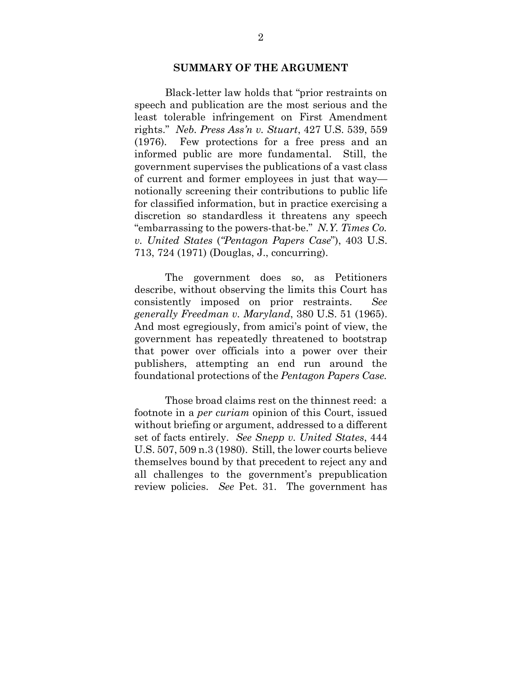#### **SUMMARY OF THE ARGUMENT**

Black-letter law holds that "prior restraints on speech and publication are the most serious and the least tolerable infringement on First Amendment rights." *Neb. Press Ass'n v. Stuart*, 427 U.S. 539, 559 (1976). Few protections for a free press and an informed public are more fundamental. Still, the government supervises the publications of a vast class of current and former employees in just that way notionally screening their contributions to public life for classified information, but in practice exercising a discretion so standardless it threatens any speech "embarrassing to the powers-that-be." *N.Y. Times Co. v. United States* (*"Pentagon Papers Case*"), 403 U.S. 713, 724 (1971) (Douglas, J., concurring).

The government does so, as Petitioners describe, without observing the limits this Court has consistently imposed on prior restraints. *See generally Freedman v. Maryland*, 380 U.S. 51 (1965). And most egregiously, from amici's point of view, the government has repeatedly threatened to bootstrap that power over officials into a power over their publishers, attempting an end run around the foundational protections of the *Pentagon Papers Case.*

Those broad claims rest on the thinnest reed: a footnote in a *per curiam* opinion of this Court, issued without briefing or argument, addressed to a different set of facts entirely. *See Snepp v. United States*, 444 U.S. 507, 509 n.3 (1980). Still, the lower courts believe themselves bound by that precedent to reject any and all challenges to the government's prepublication review policies. *See* Pet. 31. The government has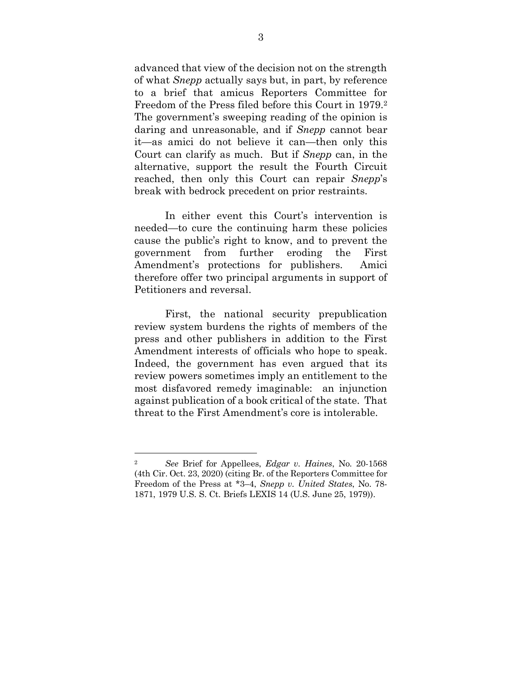advanced that view of the decision not on the strength of what *Snepp* actually says but, in part, by reference to a brief that amicus Reporters Committee for Freedom of the Press filed before this Court in 1979.2 The government's sweeping reading of the opinion is daring and unreasonable, and if *Snepp* cannot bear it—as amici do not believe it can—then only this Court can clarify as much. But if *Snepp* can, in the alternative, support the result the Fourth Circuit reached, then only this Court can repair *Snepp*'s break with bedrock precedent on prior restraints.

In either event this Court's intervention is needed—to cure the continuing harm these policies cause the public's right to know, and to prevent the government from further eroding the First Amendment's protections for publishers. Amici therefore offer two principal arguments in support of Petitioners and reversal.

First, the national security prepublication review system burdens the rights of members of the press and other publishers in addition to the First Amendment interests of officials who hope to speak. Indeed, the government has even argued that its review powers sometimes imply an entitlement to the most disfavored remedy imaginable: an injunction against publication of a book critical of the state. That threat to the First Amendment's core is intolerable.

 <sup>2</sup> *See* Brief for Appellees, *Edgar v. Haines*, No. 20-1568 (4th Cir. Oct. 23, 2020) (citing Br. of the Reporters Committee for Freedom of the Press at \*3–4, *Snepp v. United States*, No. 78- 1871, 1979 U.S. S. Ct. Briefs LEXIS 14 (U.S. June 25, 1979)).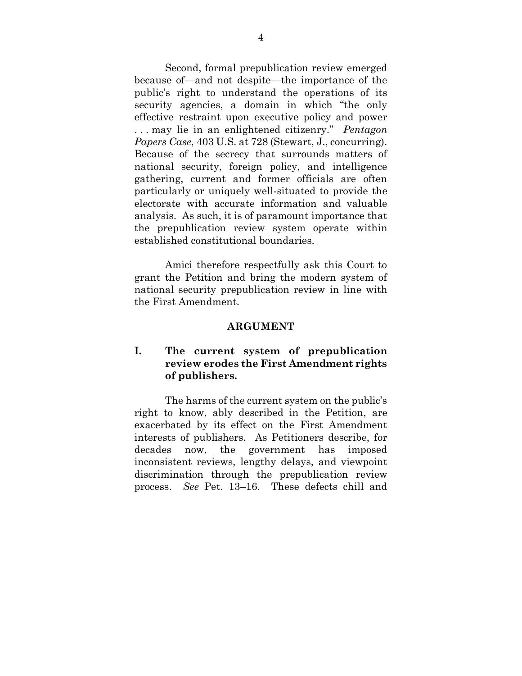Second, formal prepublication review emerged because of—and not despite—the importance of the public's right to understand the operations of its security agencies, a domain in which "the only effective restraint upon executive policy and power . . . may lie in an enlightened citizenry." *Pentagon Papers Case*, 403 U.S. at 728 (Stewart, J., concurring). Because of the secrecy that surrounds matters of national security, foreign policy, and intelligence gathering, current and former officials are often particularly or uniquely well-situated to provide the electorate with accurate information and valuable analysis. As such, it is of paramount importance that the prepublication review system operate within established constitutional boundaries.

Amici therefore respectfully ask this Court to grant the Petition and bring the modern system of national security prepublication review in line with the First Amendment.

#### **ARGUMENT**

### **I. The current system of prepublication review erodes the First Amendment rights of publishers.**

The harms of the current system on the public's right to know, ably described in the Petition, are exacerbated by its effect on the First Amendment interests of publishers. As Petitioners describe, for decades now, the government has imposed inconsistent reviews, lengthy delays, and viewpoint discrimination through the prepublication review process. *See* Pet. 13–16. These defects chill and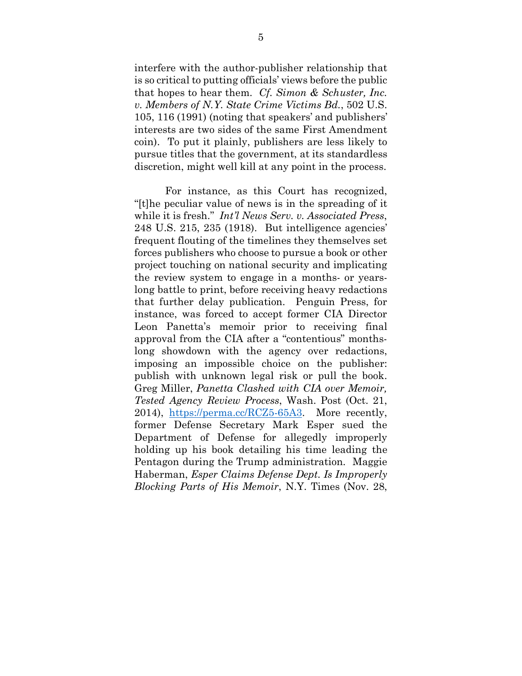interfere with the author-publisher relationship that is so critical to putting officials' views before the public that hopes to hear them. *Cf. Simon & Schuster, Inc. v. Members of N.Y. State Crime Victims Bd.*, 502 U.S. 105, 116 (1991) (noting that speakers' and publishers' interests are two sides of the same First Amendment coin). To put it plainly, publishers are less likely to pursue titles that the government, at its standardless discretion, might well kill at any point in the process.

For instance, as this Court has recognized, "[t]he peculiar value of news is in the spreading of it while it is fresh." *Int'l News Serv. v. Associated Press*, 248 U.S. 215, 235 (1918). But intelligence agencies' frequent flouting of the timelines they themselves set forces publishers who choose to pursue a book or other project touching on national security and implicating the review system to engage in a months- or yearslong battle to print, before receiving heavy redactions that further delay publication. Penguin Press, for instance, was forced to accept former CIA Director Leon Panetta's memoir prior to receiving final approval from the CIA after a "contentious" monthslong showdown with the agency over redactions, imposing an impossible choice on the publisher: publish with unknown legal risk or pull the book. Greg Miller, *Panetta Clashed with CIA over Memoir, Tested Agency Review Process*, Wash. Post (Oct. 21, 2014), https://perma.cc/RCZ5-65A3. More recently, former Defense Secretary Mark Esper sued the Department of Defense for allegedly improperly holding up his book detailing his time leading the Pentagon during the Trump administration. Maggie Haberman, *Esper Claims Defense Dept. Is Improperly Blocking Parts of His Memoir*, N.Y. Times (Nov. 28,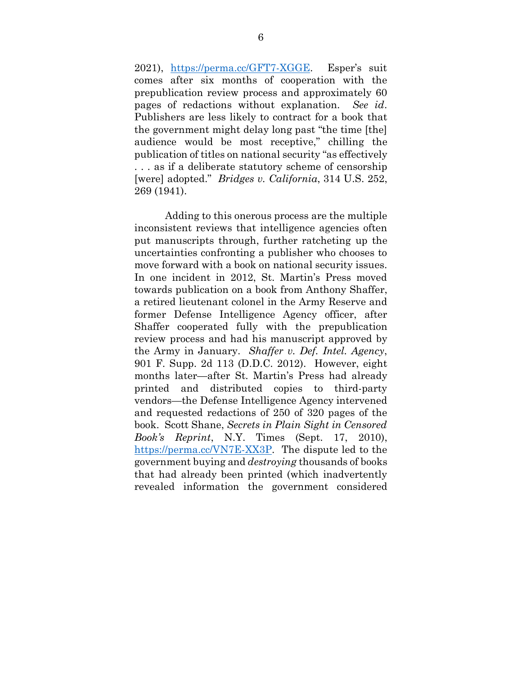2021), https://perma.cc/GFT7-XGGE. Esper's suit comes after six months of cooperation with the prepublication review process and approximately 60 pages of redactions without explanation. *See id*. Publishers are less likely to contract for a book that the government might delay long past "the time [the] audience would be most receptive," chilling the publication of titles on national security "as effectively . . . as if a deliberate statutory scheme of censorship [were] adopted." *Bridges v. California*, 314 U.S. 252, 269 (1941).

Adding to this onerous process are the multiple inconsistent reviews that intelligence agencies often put manuscripts through, further ratcheting up the uncertainties confronting a publisher who chooses to move forward with a book on national security issues. In one incident in 2012, St. Martin's Press moved towards publication on a book from Anthony Shaffer, a retired lieutenant colonel in the Army Reserve and former Defense Intelligence Agency officer, after Shaffer cooperated fully with the prepublication review process and had his manuscript approved by the Army in January. *Shaffer v. Def. Intel. Agency*, 901 F. Supp. 2d 113 (D.D.C. 2012). However, eight months later—after St. Martin's Press had already printed and distributed copies to third-party vendors—the Defense Intelligence Agency intervened and requested redactions of 250 of 320 pages of the book. Scott Shane, *Secrets in Plain Sight in Censored Book's Reprint*, N.Y. Times (Sept. 17, 2010), https://perma.cc/VN7E-XX3P. The dispute led to the government buying and *destroying* thousands of books that had already been printed (which inadvertently revealed information the government considered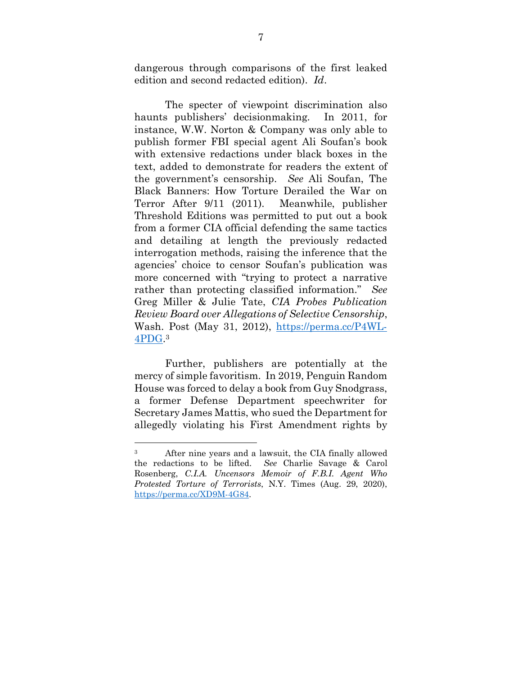dangerous through comparisons of the first leaked edition and second redacted edition). *Id*.

The specter of viewpoint discrimination also haunts publishers' decisionmaking. In 2011, for instance, W.W. Norton & Company was only able to publish former FBI special agent Ali Soufan's book with extensive redactions under black boxes in the text, added to demonstrate for readers the extent of the government's censorship. *See* Ali Soufan, The Black Banners: How Torture Derailed the War on Terror After 9/11 (2011). Meanwhile, publisher Threshold Editions was permitted to put out a book from a former CIA official defending the same tactics and detailing at length the previously redacted interrogation methods, raising the inference that the agencies' choice to censor Soufan's publication was more concerned with "trying to protect a narrative rather than protecting classified information." *See*  Greg Miller & Julie Tate, *CIA Probes Publication Review Board over Allegations of Selective Censorship*, Wash. Post (May 31, 2012), https://perma.cc/P4WL-4PDG.3

Further, publishers are potentially at the mercy of simple favoritism. In 2019, Penguin Random House was forced to delay a book from Guy Snodgrass, a former Defense Department speechwriter for Secretary James Mattis, who sued the Department for allegedly violating his First Amendment rights by

 <sup>3</sup> After nine years and a lawsuit, the CIA finally allowed the redactions to be lifted. *See* Charlie Savage & Carol Rosenberg, *C.I.A. Uncensors Memoir of F.B.I. Agent Who Protested Torture of Terrorists*, N.Y. Times (Aug. 29, 2020), https://perma.cc/XD9M-4G84.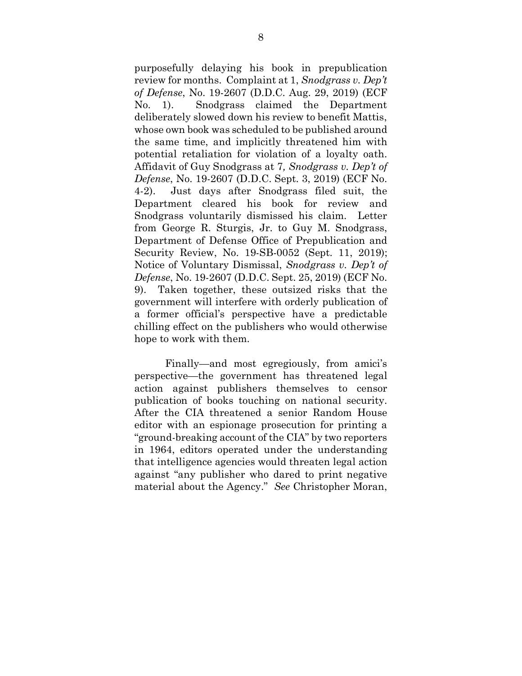purposefully delaying his book in prepublication review for months. Complaint at 1, *Snodgrass v. Dep't of Defense*, No. 19-2607 (D.D.C. Aug. 29, 2019) (ECF No. 1). Snodgrass claimed the Department deliberately slowed down his review to benefit Mattis, whose own book was scheduled to be published around the same time, and implicitly threatened him with potential retaliation for violation of a loyalty oath. Affidavit of Guy Snodgrass at 7*, Snodgrass v. Dep't of Defense*, No. 19-2607 (D.D.C. Sept. 3, 2019) (ECF No. 4-2). Just days after Snodgrass filed suit, the Department cleared his book for review and Snodgrass voluntarily dismissed his claim. Letter from George R. Sturgis, Jr. to Guy M. Snodgrass, Department of Defense Office of Prepublication and Security Review, No. 19-SB-0052 (Sept. 11, 2019); Notice of Voluntary Dismissal, *Snodgrass v. Dep't of Defense*, No. 19-2607 (D.D.C. Sept. 25, 2019) (ECF No. 9). Taken together, these outsized risks that the government will interfere with orderly publication of a former official's perspective have a predictable chilling effect on the publishers who would otherwise hope to work with them.

Finally—and most egregiously, from amici's perspective—the government has threatened legal action against publishers themselves to censor publication of books touching on national security. After the CIA threatened a senior Random House editor with an espionage prosecution for printing a "ground-breaking account of the CIA" by two reporters in 1964, editors operated under the understanding that intelligence agencies would threaten legal action against "any publisher who dared to print negative material about the Agency." *See* Christopher Moran,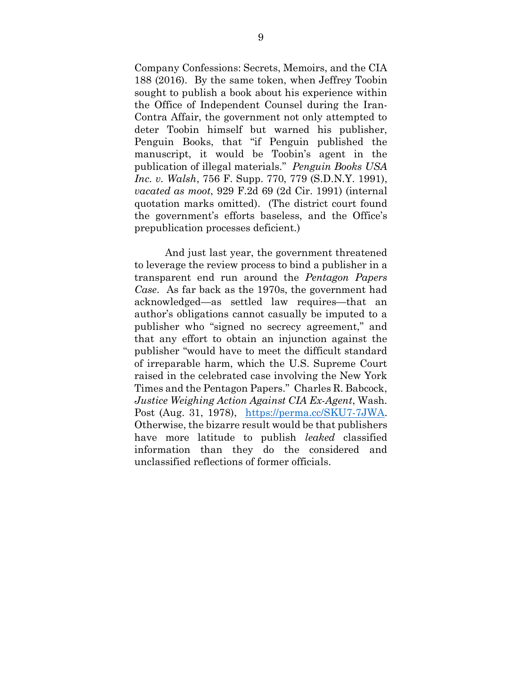Company Confessions: Secrets, Memoirs, and the CIA 188 (2016). By the same token, when Jeffrey Toobin sought to publish a book about his experience within the Office of Independent Counsel during the Iran-Contra Affair, the government not only attempted to deter Toobin himself but warned his publisher, Penguin Books, that "if Penguin published the manuscript, it would be Toobin's agent in the publication of illegal materials." *Penguin Books USA Inc. v. Walsh*, 756 F. Supp. 770, 779 (S.D.N.Y. 1991), *vacated as moot*, 929 F.2d 69 (2d Cir. 1991) (internal quotation marks omitted). (The district court found the government's efforts baseless, and the Office's prepublication processes deficient.)

And just last year, the government threatened to leverage the review process to bind a publisher in a transparent end run around the *Pentagon Papers Case*. As far back as the 1970s, the government had acknowledged—as settled law requires—that an author's obligations cannot casually be imputed to a publisher who "signed no secrecy agreement," and that any effort to obtain an injunction against the publisher "would have to meet the difficult standard of irreparable harm, which the U.S. Supreme Court raised in the celebrated case involving the New York Times and the Pentagon Papers." Charles R. Babcock, *Justice Weighing Action Against CIA Ex-Agent*, Wash. Post (Aug. 31, 1978), https://perma.cc/SKU7-7JWA. Otherwise, the bizarre result would be that publishers have more latitude to publish *leaked* classified information than they do the considered and unclassified reflections of former officials.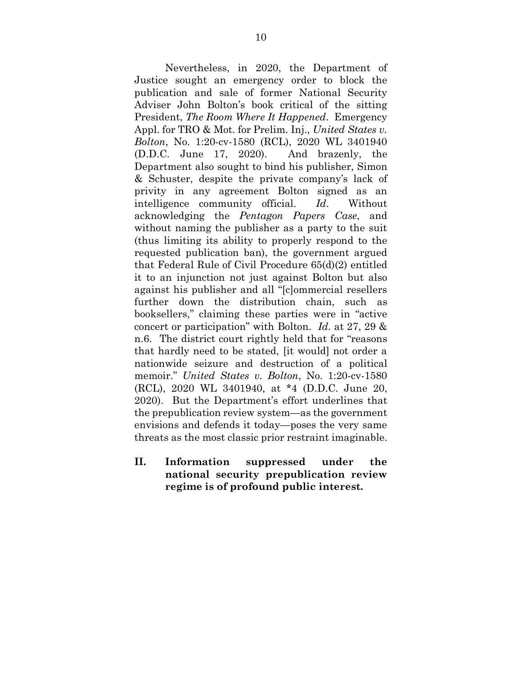Nevertheless, in 2020, the Department of Justice sought an emergency order to block the publication and sale of former National Security Adviser John Bolton's book critical of the sitting President, *The Room Where It Happened*. Emergency Appl. for TRO & Mot. for Prelim. Inj., *United States v. Bolton*, No. 1:20-cv-1580 (RCL), 2020 WL 3401940 (D.D.C. June 17, 2020). And brazenly, the Department also sought to bind his publisher, Simon & Schuster, despite the private company's lack of privity in any agreement Bolton signed as an intelligence community official. *Id*. Without acknowledging the *Pentagon Papers Case*, and without naming the publisher as a party to the suit (thus limiting its ability to properly respond to the requested publication ban), the government argued that Federal Rule of Civil Procedure 65(d)(2) entitled it to an injunction not just against Bolton but also against his publisher and all "[c]ommercial resellers further down the distribution chain, such as booksellers," claiming these parties were in "active concert or participation" with Bolton. *Id*. at 27, 29 & n.6. The district court rightly held that for "reasons that hardly need to be stated, [it would] not order a nationwide seizure and destruction of a political memoir." *United States v. Bolton*, No. 1:20-cv-1580 (RCL), 2020 WL 3401940, at \*4 (D.D.C. June 20, 2020). But the Department's effort underlines that the prepublication review system—as the government envisions and defends it today—poses the very same threats as the most classic prior restraint imaginable.

**II. Information suppressed under the national security prepublication review regime is of profound public interest.**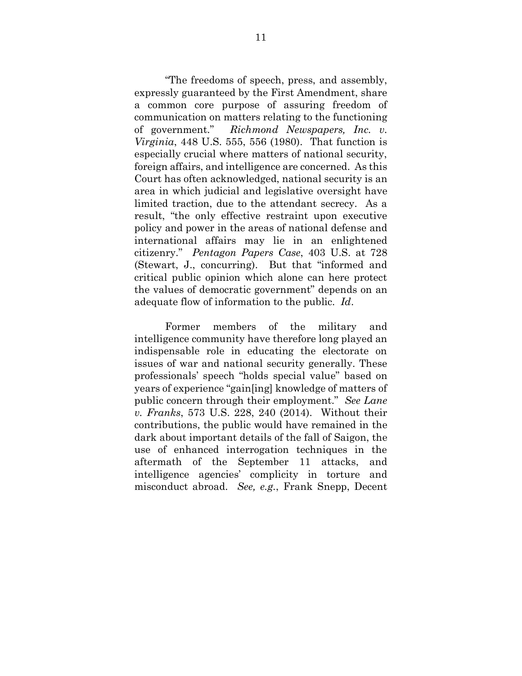"The freedoms of speech, press, and assembly, expressly guaranteed by the First Amendment, share a common core purpose of assuring freedom of communication on matters relating to the functioning of government." *Richmond Newspapers, Inc. v. Virginia*, 448 U.S. 555, 556 (1980). That function is especially crucial where matters of national security, foreign affairs, and intelligence are concerned. As this Court has often acknowledged, national security is an area in which judicial and legislative oversight have limited traction, due to the attendant secrecy. As a result, "the only effective restraint upon executive policy and power in the areas of national defense and international affairs may lie in an enlightened citizenry." *Pentagon Papers Case*, 403 U.S. at 728 (Stewart, J., concurring). But that "informed and critical public opinion which alone can here protect the values of democratic government" depends on an adequate flow of information to the public. *Id*.

Former members of the military and intelligence community have therefore long played an indispensable role in educating the electorate on issues of war and national security generally. These professionals' speech "holds special value" based on years of experience "gain[ing] knowledge of matters of public concern through their employment." *See Lane v. Franks*, 573 U.S. 228, 240 (2014). Without their contributions, the public would have remained in the dark about important details of the fall of Saigon, the use of enhanced interrogation techniques in the aftermath of the September 11 attacks, and intelligence agencies' complicity in torture and misconduct abroad. *See, e.g.*, Frank Snepp, Decent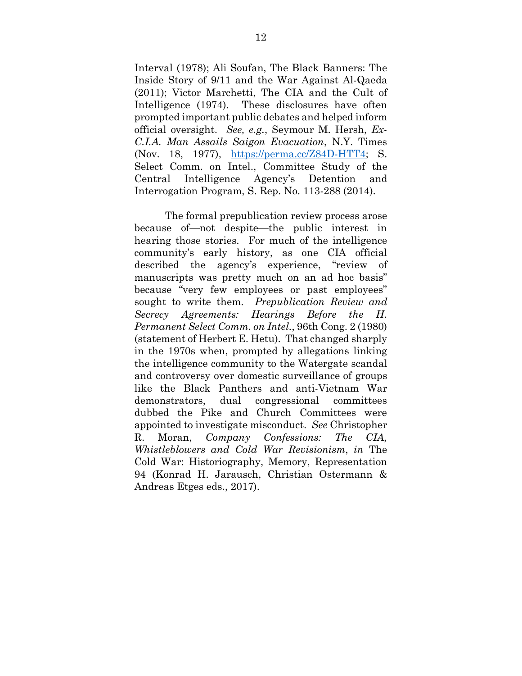Interval (1978); Ali Soufan, The Black Banners: The Inside Story of 9/11 and the War Against Al-Qaeda (2011); Victor Marchetti, The CIA and the Cult of Intelligence (1974). These disclosures have often prompted important public debates and helped inform official oversight. *See, e.g.*, Seymour M. Hersh, *Ex-C.I.A. Man Assails Saigon Evacuation*, N.Y. Times (Nov. 18, 1977), https://perma.cc/Z84D-HTT4; S. Select Comm. on Intel., Committee Study of the Central Intelligence Agency's Detention and Interrogation Program, S. Rep. No. 113-288 (2014).

The formal prepublication review process arose because of—not despite—the public interest in hearing those stories. For much of the intelligence community's early history, as one CIA official described the agency's experience, "review of manuscripts was pretty much on an ad hoc basis" because "very few employees or past employees" sought to write them. *Prepublication Review and Secrecy Agreements: Hearings Before the H. Permanent Select Comm. on Intel.*, 96th Cong. 2 (1980) (statement of Herbert E. Hetu). That changed sharply in the 1970s when, prompted by allegations linking the intelligence community to the Watergate scandal and controversy over domestic surveillance of groups like the Black Panthers and anti-Vietnam War demonstrators, dual congressional committees dubbed the Pike and Church Committees were appointed to investigate misconduct. *See* Christopher R. Moran, *Company Confessions: The CIA, Whistleblowers and Cold War Revisionism*, *in* The Cold War: Historiography, Memory, Representation 94 (Konrad H. Jarausch, Christian Ostermann & Andreas Etges eds., 2017).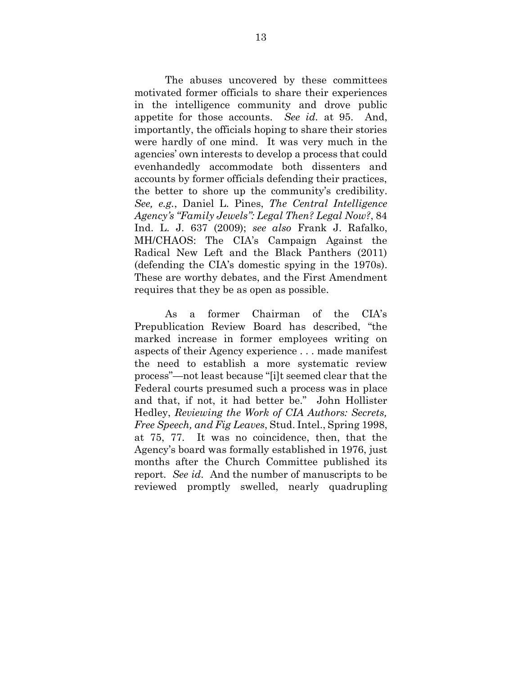The abuses uncovered by these committees motivated former officials to share their experiences in the intelligence community and drove public appetite for those accounts. *See id.* at 95. And, importantly, the officials hoping to share their stories were hardly of one mind. It was very much in the agencies' own interests to develop a process that could evenhandedly accommodate both dissenters and accounts by former officials defending their practices, the better to shore up the community's credibility. *See, e.g.*, Daniel L. Pines, *The Central Intelligence Agency's "Family Jewels": Legal Then? Legal Now?*, 84 Ind. L. J. 637 (2009); *see also* Frank J. Rafalko, MH/CHAOS: The CIA's Campaign Against the Radical New Left and the Black Panthers (2011) (defending the CIA's domestic spying in the 1970s). These are worthy debates, and the First Amendment requires that they be as open as possible.

As a former Chairman of the CIA's Prepublication Review Board has described, "the marked increase in former employees writing on aspects of their Agency experience . . . made manifest the need to establish a more systematic review process"—not least because "[i]t seemed clear that the Federal courts presumed such a process was in place and that, if not, it had better be." John Hollister Hedley, *Reviewing the Work of CIA Authors: Secrets, Free Speech, and Fig Leaves*, Stud. Intel., Spring 1998, at 75, 77. It was no coincidence, then, that the Agency's board was formally established in 1976, just months after the Church Committee published its report. *See id.* And the number of manuscripts to be reviewed promptly swelled, nearly quadrupling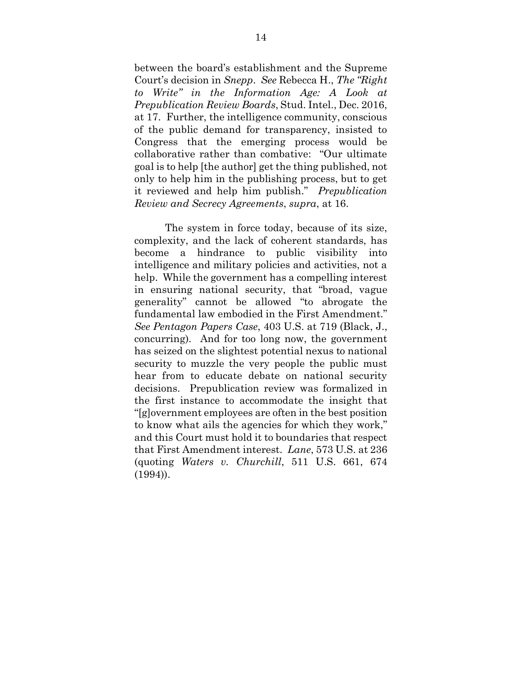between the board's establishment and the Supreme Court's decision in *Snepp*. *See* Rebecca H., *The "Right to Write" in the Information Age: A Look at Prepublication Review Boards*, Stud. Intel., Dec. 2016, at 17. Further, the intelligence community, conscious of the public demand for transparency, insisted to Congress that the emerging process would be collaborative rather than combative: "Our ultimate goal is to help [the author] get the thing published, not only to help him in the publishing process, but to get it reviewed and help him publish." *Prepublication Review and Secrecy Agreements*, *supra*, at 16.

The system in force today, because of its size, complexity, and the lack of coherent standards, has become a hindrance to public visibility into intelligence and military policies and activities, not a help. While the government has a compelling interest in ensuring national security, that "broad, vague generality" cannot be allowed "to abrogate the fundamental law embodied in the First Amendment." *See Pentagon Papers Case*, 403 U.S. at 719 (Black, J., concurring). And for too long now, the government has seized on the slightest potential nexus to national security to muzzle the very people the public must hear from to educate debate on national security decisions. Prepublication review was formalized in the first instance to accommodate the insight that "[g]overnment employees are often in the best position to know what ails the agencies for which they work," and this Court must hold it to boundaries that respect that First Amendment interest. *Lane*, 573 U.S. at 236 (quoting *Waters v. Churchill*, 511 U.S. 661, 674 (1994)).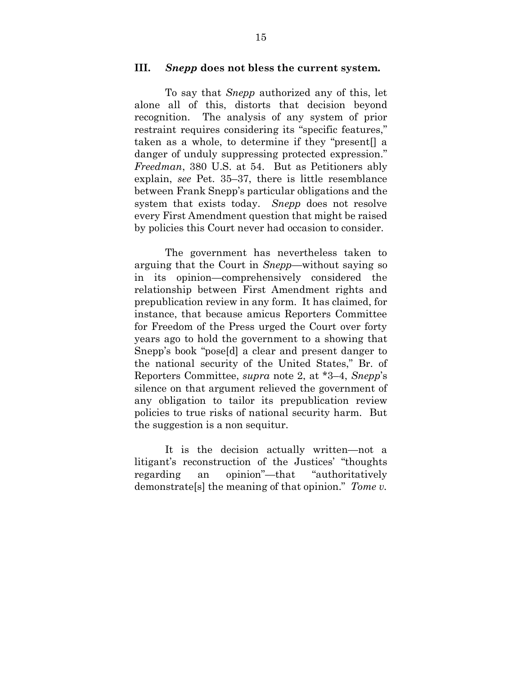#### **III.** *Snepp* **does not bless the current system.**

To say that *Snepp* authorized any of this, let alone all of this, distorts that decision beyond recognition. The analysis of any system of prior restraint requires considering its "specific features," taken as a whole, to determine if they "present[] a danger of unduly suppressing protected expression." *Freedman*, 380 U.S. at 54. But as Petitioners ably explain, *see* Pet. 35–37, there is little resemblance between Frank Snepp's particular obligations and the system that exists today. *Snepp* does not resolve every First Amendment question that might be raised by policies this Court never had occasion to consider.

The government has nevertheless taken to arguing that the Court in *Snepp*—without saying so in its opinion—comprehensively considered the relationship between First Amendment rights and prepublication review in any form. It has claimed, for instance, that because amicus Reporters Committee for Freedom of the Press urged the Court over forty years ago to hold the government to a showing that Snepp's book "pose[d] a clear and present danger to the national security of the United States," Br. of Reporters Committee, *supra* note 2, at \*3–4, *Snepp*'s silence on that argument relieved the government of any obligation to tailor its prepublication review policies to true risks of national security harm. But the suggestion is a non sequitur.

It is the decision actually written—not a litigant's reconstruction of the Justices' "thoughts regarding an opinion"—that "authoritatively demonstrate[s] the meaning of that opinion." *Tome v.*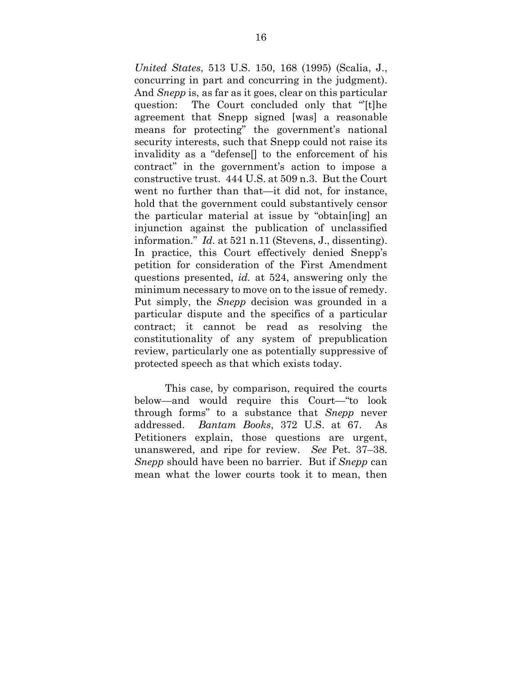*United States*, 513 U.S. 150, 168 (1995) (Scalia, J., concurring in part and concurring in the judgment). And *Snepp* is, as far as it goes, clear on this particular question: The Court concluded only that "'[t]he agreement that Snepp signed [was] a reasonable means for protecting" the government's national security interests, such that Snepp could not raise its invalidity as a "defense[] to the enforcement of his contract" in the government's action to impose a constructive trust. 444 U.S. at 509 n.3. But the Court went no further than that—it did not, for instance, hold that the government could substantively censor the particular material at issue by "obtain[ing] an injunction against the publication of unclassified information." *Id.* at 521 n.11 (Stevens, J., dissenting). In practice, this Court effectively denied Snepp's petition for consideration of the First Amendment questions presented, *id.* at 524, answering only the minimum necessary to move on to the issue of remedy. Put simply, the *Snepp* decision was grounded in a particular dispute and the specifics of a particular contract; it cannot be read as resolving the constitutionality of any system of prepublication review, particularly one as potentially suppressive of protected speech as that which exists today.

This case, by comparison, required the courts below—and would require this Court—"to look through forms" to a substance that *Snepp* never addressed. *Bantam Books*, 372 U.S. at 67. As Petitioners explain, those questions are urgent, unanswered, and ripe for review. *See* Pet. 37–38. *Snepp* should have been no barrier. But if *Snepp* can mean what the lower courts took it to mean, then